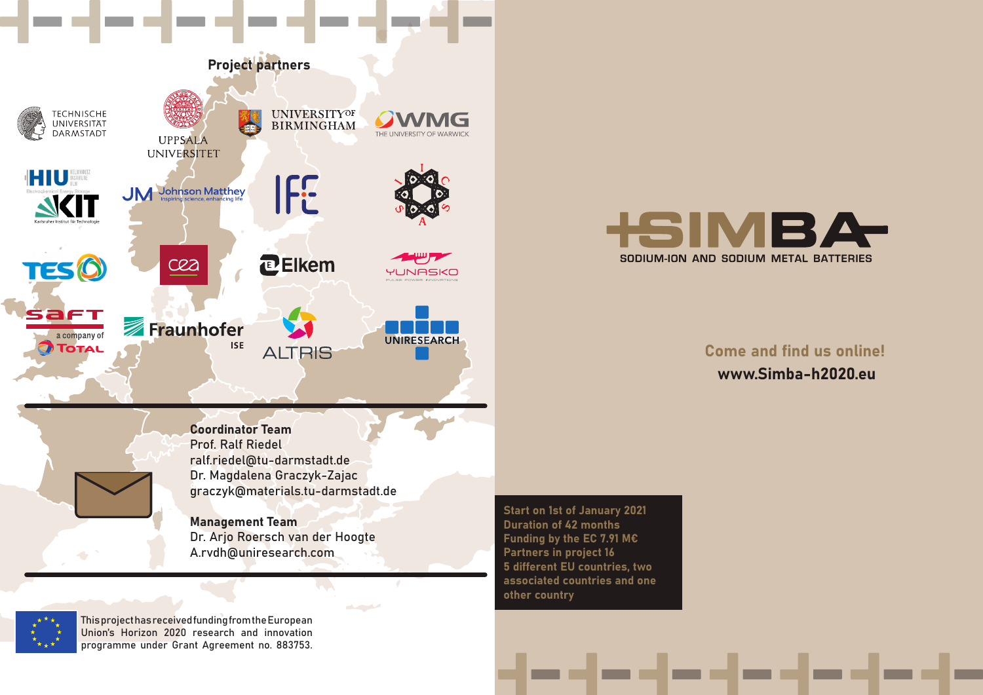



## Come and find us online! www.Simba-h2020.eu

Coordinator Team Prof. Ralf Riedel ralf.riedel@tu-darmstadt.de Dr. Magdalena Graczyk-Zajac graczyk@materials.tu-darmstadt.de

Management Team Dr. Arjo Roersch van der Hoogte A.rvdh@uniresearch.com

المناسب والمستحدث

Start on 1st of January 2021 Duration of 42 months Funding by the EC 7.91 M€ Partners in project 16 5 different EU countries, two associated countries and one other country



This project has received funding from the European Union's Horizon 2020 research and innovation programme under Grant Agreement no. 883753.